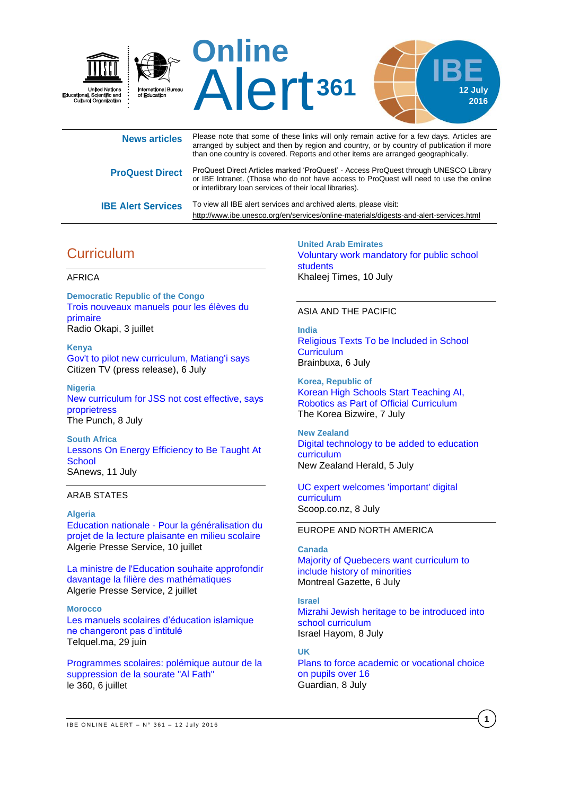

| <b>News articles</b>      | Please note that some of these links will only remain active for a few days. Articles are<br>arranged by subject and then by region and country, or by country of publication if more<br>than one country is covered. Reports and other items are arranged geographically. |
|---------------------------|----------------------------------------------------------------------------------------------------------------------------------------------------------------------------------------------------------------------------------------------------------------------------|
| <b>ProQuest Direct</b>    | ProQuest Direct Articles marked 'ProQuest' - Access ProQuest through UNESCO Library<br>or IBE Intranet. (Those who do not have access to ProQuest will need to use the online<br>or interlibrary loan services of their local libraries).                                  |
| <b>IBE Alert Services</b> | To view all IBE alert services and archived alerts, please visit:<br>http://www.ibe.unesco.org/en/services/online-materials/digests-and-alert-services.html                                                                                                                |

# **Curriculum**

#### AFRICA

**Democratic Republic of the Congo** [Trois nouveaux manuels pour les élèves du](http://fr.allafrica.com/stories/201607030262.html)  [primaire](http://fr.allafrica.com/stories/201607030262.html) Radio Okapi, 3 juillet

**Kenya** [Gov't to pilot new curriculum, Matiang'i says](https://citizentv.co.ke/news/govt-to-pilot-new-curriculum-matiangi-says-132683/) Citizen TV (press release), 6 July

**Nigeria** [New curriculum for JSS not cost effective, says](http://punchng.com/new-curriculum-jss-not-cost-effective-says-proprietress/)  [proprietress](http://punchng.com/new-curriculum-jss-not-cost-effective-says-proprietress/) The Punch, 8 July

**South Africa** [Lessons On Energy Efficiency to Be Taught At](http://allafrica.com/stories/201607110726.html)  **[School](http://allafrica.com/stories/201607110726.html)** SAnews, 11 July

#### ARAB STATES

## **Algeria**

Education nationale - [Pour la généralisation du](http://fr.allafrica.com/stories/201607110409.html)  [projet de la lecture plaisante en milieu scolaire](http://fr.allafrica.com/stories/201607110409.html) Algerie Presse Service, 10 juillet

[La ministre de l'Education souhaite approfondir](http://fr.allafrica.com/stories/201607030071.html)  [davantage la filière des mathématiques](http://fr.allafrica.com/stories/201607030071.html) Algerie Presse Service, 2 juillet

### **Morocco**

[Les manuels scolaires d'éducation islamique](http://telquel.ma/2016/06/29/les-manuels-scolaires-deducation-islamique-changeront-pas-dintitule_1504437)  [ne changeront pas d'intitulé](http://telquel.ma/2016/06/29/les-manuels-scolaires-deducation-islamique-changeront-pas-dintitule_1504437) Telquel.ma, 29 juin

[Programmes scolaires: polémique autour de la](http://m.le360.ma/page.php?link=/politique/programmes-scolaires-polemique-autour-de-la-suppression-de-la-sourate-al-fath-78566)  [suppression de la sourate "Al Fath"](http://m.le360.ma/page.php?link=/politique/programmes-scolaires-polemique-autour-de-la-suppression-de-la-sourate-al-fath-78566) le 360, 6 juillet

**United Arab Emirates** [Voluntary work mandatory for public school](http://www.khaleejtimes.com/voluntary-work-mandatory-for-public-school-students)  [students](http://www.khaleejtimes.com/voluntary-work-mandatory-for-public-school-students) Khaleej Times, 10 July

#### ASIA AND THE PACIFIC

**India** [Religious Texts To be Included in School](https://www.brainbuxa.com/education-news/religious-texts-to-be-included-in-school-curriculum-5099)  **[Curriculum](https://www.brainbuxa.com/education-news/religious-texts-to-be-included-in-school-curriculum-5099)** Brainbuxa, 6 July

**Korea, Republic of** [Korean High Schools Start Teaching AI,](http://koreabizwire.com/korean-high-schools-start-teaching-ai-robotics-as-part-of-official-curriculum/60624)  [Robotics as Part of Official Curriculum](http://koreabizwire.com/korean-high-schools-start-teaching-ai-robotics-as-part-of-official-curriculum/60624) The Korea Bizwire, 7 July

**New Zealand** [Digital technology to be added to education](http://www.nzherald.co.nz/nz/news/article.cfm?c_id=1&objectid=11668961)  [curriculum](http://www.nzherald.co.nz/nz/news/article.cfm?c_id=1&objectid=11668961) New Zealand Herald, 5 July

[UC expert welcomes 'important' digital](http://www.scoop.co.nz/stories/ED1607/S00033/uc-expert-welcomes-important-digital-curriculum.htm)  [curriculum](http://www.scoop.co.nz/stories/ED1607/S00033/uc-expert-welcomes-important-digital-curriculum.htm) Scoop.co.nz, 8 July

#### EUROPE AND NORTH AMERICA

#### **Canada**

[Majority of Quebecers want curriculum to](http://montrealgazette.com/news/local-news/majority-of-quebecers-want-curriculum-to-include-history-of-minorities)  [include history of minorities](http://montrealgazette.com/news/local-news/majority-of-quebecers-want-curriculum-to-include-history-of-minorities) Montreal Gazette, 6 July

#### **Israel**

[Mizrahi Jewish heritage to be introduced into](http://www.israelhayom.com/site/newsletter_article.php?id=34835)  [school curriculum](http://www.israelhayom.com/site/newsletter_article.php?id=34835) Israel Hayom, 8 July

#### **UK**

[Plans to force academic or vocational choice](https://www.theguardian.com/education/2016/jul/08/plans-to-force-academic-or-vocational-choice-on-pupils-over-16)  [on pupils over 16](https://www.theguardian.com/education/2016/jul/08/plans-to-force-academic-or-vocational-choice-on-pupils-over-16) Guardian, 8 July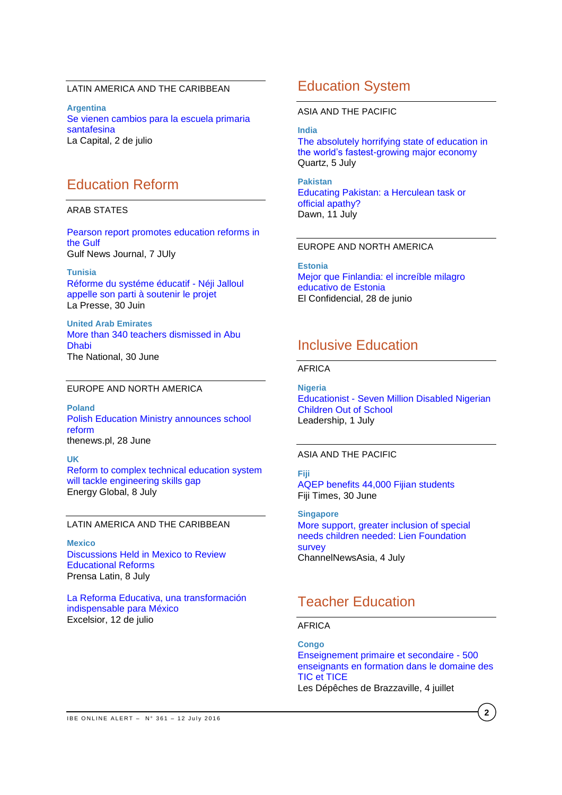## LATIN AMERICA AND THE CARIBBEAN

**Argentina** [Se vienen cambios para la escuela primaria](http://www.lacapital.com.ar/se-vienen-cambios-la-escuela-primaria-santafesina-n1132576)  [santafesina](http://www.lacapital.com.ar/se-vienen-cambios-la-escuela-primaria-santafesina-n1132576) La Capital, 2 de julio

## Education Reform

### ARAB STATES

[Pearson report promotes education reforms in](http://gulfnewsjournal.com/stories/510955440-pearson-report-promotes-education-reforms-in-the-gulf)  [the Gulf](http://gulfnewsjournal.com/stories/510955440-pearson-report-promotes-education-reforms-in-the-gulf) Gulf News Journal, 7 JUly

**Tunisia** [Réforme du systéme éducatif -](http://fr.allafrica.com/stories/201606300909.html) Néji Jalloul [appelle son parti à soutenir le projet](http://fr.allafrica.com/stories/201606300909.html) La Presse, 30 Juin

**United Arab Emirates** [More than 340 teachers dismissed in Abu](http://www.thenational.ae/uae/more-than-340-teachers-dismissed-in-abu-dhabi)  [Dhabi](http://www.thenational.ae/uae/more-than-340-teachers-dismissed-in-abu-dhabi) The National, 30 June

#### EUROPE AND NORTH AMERICA

**Poland** [Polish Education Ministry announces school](http://www.thenews.pl/1/9/Artykul/259208,Polish-Education-Ministry-announces-school-reform)  [reform](http://www.thenews.pl/1/9/Artykul/259208,Polish-Education-Ministry-announces-school-reform) thenews.pl, 28 June

**UK** [Reform to complex technical education system](http://www.energyglobal.com/downstream/refining/08072016/Educational-reform-to-tackle-engineering-skills-gap-head-on-3664/)  [will tackle engineering skills gap](http://www.energyglobal.com/downstream/refining/08072016/Educational-reform-to-tackle-engineering-skills-gap-head-on-3664/) Energy Global, 8 July

## LATIN AMERICA AND THE CARIBBEAN

**Mexico** [Discussions Held in Mexico to Review](http://plenglish.com/index.php?option=com_content&task=view&id=5046481&Itemid=1)  [Educational Reforms](http://plenglish.com/index.php?option=com_content&task=view&id=5046481&Itemid=1) Prensa Latin, 8 July

[La Reforma Educativa, una transformación](http://www.excelsior.com.mx/opinion/opinion-del-experto-nacional/2016/07/12/1104366)  [indispensable para México](http://www.excelsior.com.mx/opinion/opinion-del-experto-nacional/2016/07/12/1104366) Excelsior, 12 de julio

## Education System

ASIA AND THE PACIFIC

**India**

[The absolutely horrifying state of education in](http://qz.com/722796/the-absolutely-horrifying-state-of-education-in-the-worlds-fastest-growing-major-economy/)  [the world's fastest-growing major economy](http://qz.com/722796/the-absolutely-horrifying-state-of-education-in-the-worlds-fastest-growing-major-economy/) Quartz, 5 July

**Pakistan** [Educating Pakistan: a Herculean task or](http://www.dawn.com/news/1269020/educating-pakistan-a-herculean-task-or-official-apathy)  [official apathy?](http://www.dawn.com/news/1269020/educating-pakistan-a-herculean-task-or-official-apathy) Dawn, 11 July

### EUROPE AND NORTH AMERICA

**Estonia**

[Mejor que Finlandia: el increíble milagro](http://www.elconfidencial.com/alma-corazon-vida/2016-06-28/estonia-sistema-educativo-exito_1224263/)  [educativo de Estonia](http://www.elconfidencial.com/alma-corazon-vida/2016-06-28/estonia-sistema-educativo-exito_1224263/) El Confidencial, 28 de junio

## Inclusive Education

### AFRICA

**Nigeria** Educationist - [Seven Million Disabled Nigerian](http://allafrica.com/stories/201607010829.html)  [Children Out of School](http://allafrica.com/stories/201607010829.html) Leadership, 1 July

### ASIA AND THE PACIFIC

**Fiji** [AQEP benefits 44,000 Fijian students](http://www.fijitimes.com/story.aspx?id=360418) Fiji Times, 30 June

**Singapore** [More support, greater inclusion of special](http://www.channelnewsasia.com/news/singapore/more-support-greater/2928260.html)  [needs children needed: Lien Foundation](http://www.channelnewsasia.com/news/singapore/more-support-greater/2928260.html)  [survey](http://www.channelnewsasia.com/news/singapore/more-support-greater/2928260.html) ChannelNewsAsia, 4 July

# Teacher Education

### AFRICA

**Congo** [Enseignement primaire et secondaire -](http://fr.allafrica.com/stories/201607050506.html) 500 [enseignants en formation dans le domaine des](http://fr.allafrica.com/stories/201607050506.html)  [TIC et TICE](http://fr.allafrica.com/stories/201607050506.html) Les Dépêches de Brazzaville, 4 juillet

IBE ONLINE ALERT -  $N^{\circ}$  361 - 12 July 2016

**2**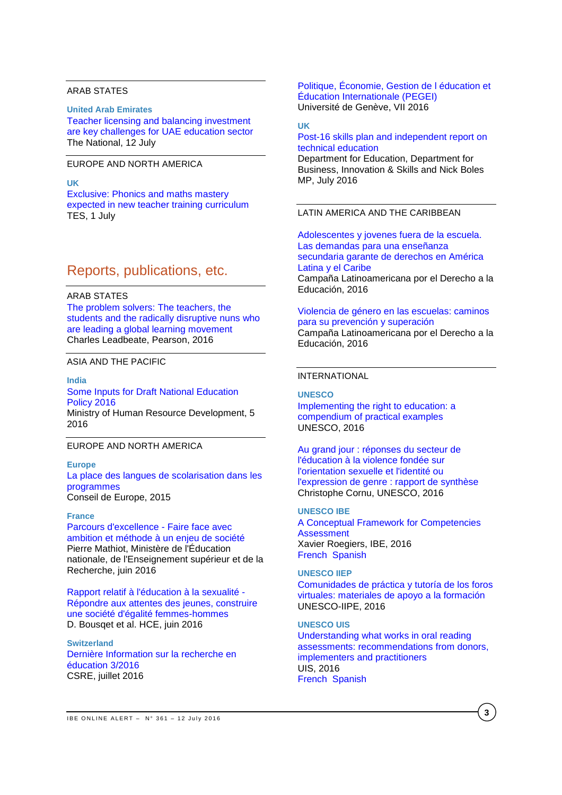## ARAB STATES

## **United Arab Emirates**

[Teacher licensing and balancing investment](http://www.thenational.ae/uae/teacher-licensing-and-balancing-investment-are-key-challenges-for-uae-education-sector)  [are key challenges for UAE education sector](http://www.thenational.ae/uae/teacher-licensing-and-balancing-investment-are-key-challenges-for-uae-education-sector) The National, 12 July

### EUROPE AND NORTH AMERICA

#### **UK**

[Exclusive: Phonics and maths mastery](https://www.tes.com/news/school-news/breaking-news/exclusive-phonics-and-maths-mastery-expected-new-teacher-training)  [expected in new teacher training curriculum](https://www.tes.com/news/school-news/breaking-news/exclusive-phonics-and-maths-mastery-expected-new-teacher-training) TES, 1 July

# Reports, publications, etc.

### ARAB STATES

[The problem solvers: The teachers, the](https://www.pearson.com/content/dam/corporate/global/pearson-dot-com/files/learning/The_Problem_Solvers_Final.pdf)  [students and the radically disruptive nuns who](https://www.pearson.com/content/dam/corporate/global/pearson-dot-com/files/learning/The_Problem_Solvers_Final.pdf)  [are leading a global learning movement](https://www.pearson.com/content/dam/corporate/global/pearson-dot-com/files/learning/The_Problem_Solvers_Final.pdf) Charles Leadbeate, Pearson, 2016

## ASIA AND THE PACIFIC

### **India**

[Some Inputs for Draft National Education](http://mhrd.gov.in/sites/upload_files/mhrd/files/Inputs_Draft_NEP_2016.pdf)  [Policy 2016](http://mhrd.gov.in/sites/upload_files/mhrd/files/Inputs_Draft_NEP_2016.pdf) Ministry of Human Resource Development, 5 2016

### EUROPE AND NORTH AMERICA

#### **Europe**

[La place des langues de scolarisation dans les](http://www.coe.int/t/dg4/Linguistic/Source/LE_texts_Source/LE%202015/Place-of-languages-of-schooling-in-curricula_FR.pdf)  [programmes](http://www.coe.int/t/dg4/Linguistic/Source/LE_texts_Source/LE%202015/Place-of-languages-of-schooling-in-curricula_FR.pdf) Conseil de Europe, 2015

#### **France**

[Parcours d'excellence -](http://www.ladocumentationfrancaise.fr/var/storage/rapports-publics/164000380.pdf) Faire face avec [ambition et méthode à un enjeu de société](http://www.ladocumentationfrancaise.fr/var/storage/rapports-publics/164000380.pdf) Pierre Mathiot, Ministère de l'Éducation nationale, de l'Enseignement supérieur et de la Recherche, juin 2016

[Rapport relatif à l'éducation à la sexualité -](http://www.ladocumentationfrancaise.fr/var/storage/rapports-publics/164000367.pdf) [Répondre aux attentes des jeunes, construire](http://www.ladocumentationfrancaise.fr/var/storage/rapports-publics/164000367.pdf)  [une société d'égalité femmes-hommes](http://www.ladocumentationfrancaise.fr/var/storage/rapports-publics/164000367.pdf) D. Bousqet et al. HCE, juin 2016

**Switzerland** [Dernière Information sur la recherche en](http://www.skbf-csre.ch/fr/recherche-en-education/information/informations-recentes/)  [éducation 3/2016](http://www.skbf-csre.ch/fr/recherche-en-education/information/informations-recentes/) CSRE, juillet 2016

[Politique, Économie, Gestion de l éducation et](http://www.unige.ch/fapse/pegei/revue/articles/n7/)  [Éducation Internationale \(PEGEI\)](http://www.unige.ch/fapse/pegei/revue/articles/n7/) Université de Genève, VII 2016

#### **UK**

### [Post-16 skills plan and independent report on](https://www.gov.uk/government/publications/post-16-skills-plan-and-independent-report-on-technical-education)  [technical education](https://www.gov.uk/government/publications/post-16-skills-plan-and-independent-report-on-technical-education)

Department for Education, Department for Business, Innovation & Skills and Nick Boles MP, July 2016

## LATIN AMERICA AND THE CARIBBEAN

[Adolescentes y jovenes fuera de la escuela.](http://v2.campanaderechoeducacion.org/es/publicaciones/clade/publicaciones-tematicas.html)  [Las demandas para una enseñanza](http://v2.campanaderechoeducacion.org/es/publicaciones/clade/publicaciones-tematicas.html)  [secundaria garante de derechos en América](http://v2.campanaderechoeducacion.org/es/publicaciones/clade/publicaciones-tematicas.html)  [Latina y el Caribe](http://v2.campanaderechoeducacion.org/es/publicaciones/clade/publicaciones-tematicas.html) Campaña Latinoamericana por el Derecho a la Educación, 2016

#### Violencia de género [en las escuelas: caminos](http://v2.campanaderechoeducacion.org/es/publicaciones/clade/publicaciones-tematicas.html)  [para su prevención y superación](http://v2.campanaderechoeducacion.org/es/publicaciones/clade/publicaciones-tematicas.html)

Campaña Latinoamericana por el Derecho a la Educación, 2016

### INTERNATIONAL

#### **UNESCO**

[Implementing the right to education: a](http://unesdoc.unesco.org/images/0024/002451/245196e.pdf)  [compendium of practical examples](http://unesdoc.unesco.org/images/0024/002451/245196e.pdf) UNESCO, 2016

[Au grand jour : réponses du secteur de](http://unesdoc.unesco.org/images/0024/002446/244652f.pdf)  [l'éducation à la violence fondée sur](http://unesdoc.unesco.org/images/0024/002446/244652f.pdf)  [l'orientation sexuelle et l'identité ou](http://unesdoc.unesco.org/images/0024/002446/244652f.pdf)  [l'expression de genre : rapport de synthèse](http://unesdoc.unesco.org/images/0024/002446/244652f.pdf) Christophe Cornu, UNESCO, 2016

#### **UNESCO IBE**

[A Conceptual Framework for Competencies](http://unesdoc.unesco.org/images/0024/002451/245195e.pdf)  **[Assessment](http://unesdoc.unesco.org/images/0024/002451/245195e.pdf)** Xavier Roegiers, IBE, 2016 [French](http://unesdoc.unesco.org/images/0024/002451/245195f.pdf) [Spanish](http://unesdoc.unesco.org/images/0024/002451/245195s.pdf)

#### **UNESCO IIEP**

[Comunidades de práctica y tutoría de los foros](http://unesdoc.unesco.org/images/0024/002452/245247s.pdf)  [virtuales: materiales de apoyo a la formación](http://unesdoc.unesco.org/images/0024/002452/245247s.pdf) UNESCO-IIPE, 2016

### **UNESCO UIS**

[Understanding what works in oral reading](http://unesdoc.unesco.org/images/0024/002451/245164e.pdf)  [assessments: recommendations from donors,](http://unesdoc.unesco.org/images/0024/002451/245164e.pdf)  [implementers and practitioners](http://unesdoc.unesco.org/images/0024/002451/245164e.pdf) UIS, 2016 [French](http://unesdoc.unesco.org/images/0024/002451/245165f.pdf) [Spanish](http://unesdoc.unesco.org/images/0024/002451/245165s.pdf)